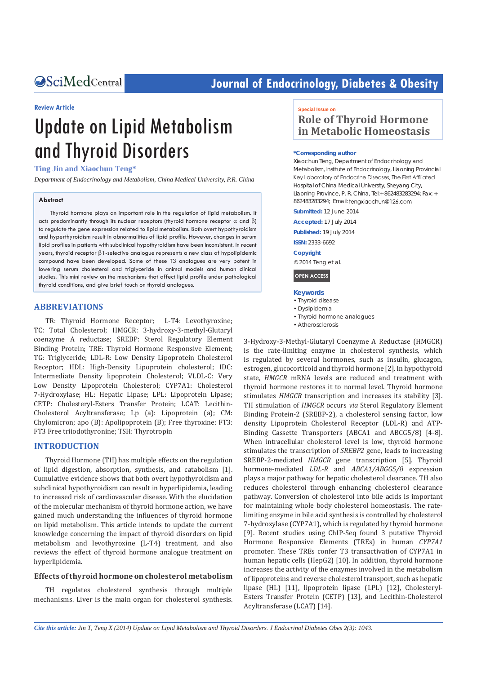# **CALCERT CONFIDENTIAL CONTRACT CONTRACT SETS** Journal of Endocrinology, Diabetes & Obesity

#### **Review Article**

# Update on Lipid Metabolism and Thyroid Disorders

#### **Ting Jin and Xiaochun Teng\***

*Department of Endocrinology and Metabolism, China Medical University, P.R. China*

#### **Abstract**

Thyroid hormone plays an important role in the regulation of lipid metabolism. It acts predominantly through its nuclear receptors (thyroid hormone receptor  $\alpha$  and  $\beta$ ) to regulate the gene expression related to lipid metabolism. Both overt hypothyroidism and hyperthyroidism result in abnormalities of lipid profile. However, changes in serum lipid profiles in patients with subclinical hypothyroidism have been inconsistent. In recent years, thyroid receptor β1-selective analogue represents a new class of hypolipidemic compound have been developed. Some of these T3 analogues are very potent in lowering serum cholesterol and triglyceride in animal models and human clinical studies. This mini review on the mechanisms that affect lipid profile under pathological thyroid conditions, and give brief touch on thyroid analogues.

#### **ABBREVIATIONS**

TR: Thyroid Hormone Receptor; L-T4: Levothyroxine; TC: Total Cholesterol; HMGCR: 3-hydroxy-3-methyl-Glutaryl coenzyme A reductase; SREBP: Sterol Regulatory Element Binding Protein; TRE: Thyroid Hormone Responsive Element; TG: Triglyceride; LDL-R: Low Density Lipoprotein Cholesterol Receptor; HDL: High-Density Lipoprotein cholesterol; IDC: Intermediate Density lipoprotein Cholesterol; VLDL-C: Very Low Density Lipoprotein Cholesterol; CYP7A1: Cholesterol 7-Hydroxylase; HL: Hepatic Lipase; LPL: Lipoprotein Lipase; CETP: Cholesteryl-Esters Transfer Protein; LCAT: Lecithin-Cholesterol Acyltransferase; Lp (a): Lipoprotein (a); CM: Chylomicron; apo (B): Apolipoprotein (B); Free thyroxine: FT3: FT3 Free triiodothyronine; TSH: Thyrotropin

#### **INTRODUCTION**

Thyroid Hormone (TH) has multiple effects on the regulation of lipid digestion, absorption, synthesis, and catabolism [1]. Cumulative evidence shows that both overt hypothyroidism and subclinical hypothyroidism can result in hyperlipidemia, leading to increased risk of cardiovascular disease. With the elucidation of the molecular mechanism of thyroid hormone action, we have gained much understanding the influences of thyroid hormone on lipid metabolism. This article intends to update the current knowledge concerning the impact of thyroid disorders on lipid metabolism and levothyroxine (L-T4) treatment, and also reviews the effect of thyroid hormone analogue treatment on hyperlipidemia.

#### **Effects of thyroid hormone on cholesterol metabolism**

TH regulates cholesterol synthesis through multiple mechanisms. Liver is the main organ for cholesterol synthesis.

#### **Special Issue on**

# **Role of Thyroid Hormone in Metabolic Homeostasis**

#### **\*Corresponding author**

Xiaochun Teng, Department of Endocrinology and Metabolism, Institute of Endocrinology, Liaoning Provincial Key Laboratory of Endocrine Diseases, The First Affiliated Hospital of China Medical University, Sheyang City, Liaoning Province, P. R. China, Tel:+ 862483283294; Fax: + 862483283294; Email: tengxiaochun@126.com

**Submitted:** 12 June 2014

**Accepted:** 17 July 2014

**Published:** 19 July 2014

**ISSN:** 2333-6692

**Copyright** © 2014 Teng et al.

**OPEN ACCESS**

#### **Keywords**

- Thyroid disease
- Dyslipidemia
- Thyroid hormone analogues
- Atherosclerosis

3-Hydroxy-3-Methyl-Glutaryl Coenzyme A Reductase (HMGCR) is the rate-limiting enzyme in cholesterol synthesis, which is regulated by several hormones, such as insulin, glucagon, estrogen, glucocorticoid and thyroid hormone [2]. In hypothyroid state, *HMGCR* mRNA levels are reduced and treatment with thyroid hormone restores it to normal level. Thyroid hormone stimulates *HMGCR* transcription and increases its stability [3]. TH stimulation of *HMGCR* occurs *via* Sterol Regulatory Element Binding Protein-2 (SREBP-2), a cholesterol sensing factor, low density Lipoprotein Cholesterol Receptor (LDL-R) and ATP-Binding Cassette Transporters (ABCA1 and ABCG5/8) [4-8]. When intracellular cholesterol level is low, thyroid hormone stimulates the transcription of *SREBP2* gene, leads to increasing SREBP-2-mediated *HMGCR* gene transcription [5]. Thyroid hormone-mediated *LDL-R* and *ABCA1/ABGG5/8* expression plays a major pathway for hepatic cholesterol clearance. TH also reduces cholesterol through enhancing cholesterol clearance pathway. Conversion of cholesterol into bile acids is important for maintaining whole body cholesterol homeostasis. The ratelimiting enzyme in bile acid synthesis is controlled by cholesterol 7-hydroxylase (CYP7A1), which is regulated by thyroid hormone [9]. Recent studies using ChIP-Seq found 3 putative Thyroid Hormone Responsive Elements (TREs) in human *CYP7A1* promoter. These TREs confer T3 transactivation of CYP7A1 in human hepatic cells (HepG2) [10]. In addition, thyroid hormone increases the activity of the enzymes involved in the metabolism of lipoproteins and reverse cholesterol transport, such as hepatic lipase (HL) [11], lipoprotein lipase (LPL) [12], Cholesteryl-Esters Transfer Protein (CETP) [13], and Lecithin-Cholesterol Acyltransferase (LCAT) [14].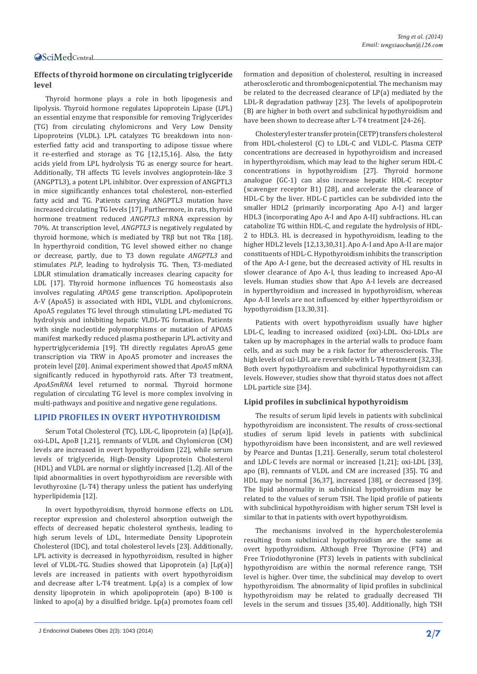## **Effects of thyroid hormone on circulating triglyceride level**

Thyroid hormone plays a role in both lipogenesis and lipolysis. Thyroid hormone regulates Lipoprotein Lipase (LPL) an essential enzyme that responsible for removing Triglycerides (TG) from circulating chylomicrons and Very Low Density Lipoproteins (VLDL). LPL catalyzes TG breakdown into nonesterfied fatty acid and transporting to adipose tissue where it re-esterfied and storage as TG [12,15,16]. Also, the fatty acids yield from LPL hydrolysis TG as energy source for heart. Additionally, TH affects TG levels involves angioprotein-like 3 (ANGPTL3), a potent LPL inhibitor. Over expression of ANGPTL3 in mice significantly enhances total cholesterol, non-esterfied fatty acid and TG. Patients carrying ANGPTL3 mutation have increased circulating TG levels [17]. Furthermore, in rats, thyroid hormone treatment reduced *ANGPTL3* mRNA expression by 70%. At transcription level, *ANGPTL3* is negatively regulated by thyroid hormone, which is mediated by TRβ but not TRα [18]. In hyperthyroid condition, TG level showed either no change or decrease, partly, due to T3 down regulate *ANGPTL3* and stimulates *PLP*, leading to hydrolysis TG. Then, T3-mediated LDLR stimulation dramatically increases clearing capacity for LDL [17]. Thyroid hormone influences TG homeostasis also involves regulating *APOA5* gene transcription. Apolipoprotein A-V (ApoA5) is associated with HDL, VLDL and chylomicrons. ApoA5 regulates TG level through stimulating LPL-mediated TG hydrolysis and inhibiting hepatic VLDL-TG formation. Patients with single nucleotide polymorphisms or mutation of APOA5 manifest markedly reduced plasma postheparin LPL activity and hypertriglyceridemia [19]. TH directly regulates AproA5 gene transcription via TRW in ApoA5 promoter and increases the protein level [20]. Animal experiment showed that *ApoA5* mRNA significantly reduced in hypothyroid rats. After T3 treatment, *ApoA5mRNA* level returned to normal. Thyroid hormone regulation of circulating TG level is more complex involving in multi-pathways and positive and negative gene regulations.

#### **LIPID PROFILES IN OVERT HYPOTHYROIDISM**

Serum Total Cholesterol (TC), LDL-C, lipoprotein (a) [Lp(a)], oxi-LDL, ApoB [1,21], remnants of VLDL and Chylomicron (CM) levels are increased in overt hypothyroidism [22], while serum levels of triglyceride, High-Density Lipoprotein Cholesterol (HDL) and VLDL are normal or slightly increased [1,2]. All of the lipid abnormalities in overt hypothyroidism are reversible with levothyroxine (L-T4) therapy unless the patient has underlying hyperlipidemia [12].

In overt hypothyroidism, thyroid hormone effects on LDL receptor expression and cholesterol absorption outweigh the effects of decreased hepatic cholesterol synthesis, leading to high serum levels of LDL, Intermediate Density Lipoprotein Cholesterol (IDC), and total cholesterol levels [23]. Additionally, LPL activity is decreased in hypothyroidism, resulted in higher level of VLDL-TG. Studies showed that Lipoprotein (a) [Lp(a)] levels are increased in patients with overt hypothyroidism and decrease after L-T4 treatment. Lp(a) is a complex of low density lipoprotein in which apolipoprotein (apo) B-100 is linked to apo(a) by a disulfied bridge. Lp(a) promotes foam cell formation and deposition of cholesterol, resulting in increased atherosclerotic and thrombogenicpotential. The mechanism may be related to the decreased clearance of LP(a) mediated by the LDL-R degradation pathway [23]. The levels of apolipoprotein (B) are higher in both overt and subclinical hypothyroidism and have been shown to decrease after L-T4 treatment [24-26].

Cholesteryl ester transfer protein (CETP) transfers cholesterol from HDL-cholesterol (C) to LDL-C and VLDL-C. Plasma CETP concentrations are decreased in hypothyroidism and increased in hyperthyroidism, which may lead to the higher serum HDL-C concentrations in hypothyroidism [27]. Thyroid hormone analogue (GC-1) can also increase hepatic HDL-C receptor (scavenger receptor B1) [28], and accelerate the clearance of HDL-C by the liver. HDL-C particles can be subdivided into the smaller HDL2 (primarily incorporating Apo A-I) and larger HDL3 (incorporating Apo A-I and Apo A-II) subfractions. HL can catabolize TG within HDL-C, and regulate the hydrolysis of HDL-2 to HDL3. HL is decreased in hypothyroidism, leading to the higher HDL2 levels [12,13,30,31]. Apo A-I and Apo A-II are major constituents of HDL-C. Hypothyroidism inhibits the transcription of the Apo A-I gene, but the decreased activity of HL results in slower clearance of Apo A-I, thus leading to increased Apo-AI levels. Human studies show that Apo A-I levels are decreased in hyperthyroidism and increased in hypothyroidism, whereas Apo A-II levels are not influenced by either hyperthyroidism or hypothyroidism [13,30,31].

Patients with overt hypothyroidism usually have higher LDL-C, leading to increased oxidized (oxi)-LDL. Oxi-LDLs are taken up by macrophages in the arterial walls to produce foam cells, and as such may be a risk factor for atherosclerosis. The high levels of oxi-LDL are reversible with L-T4 treatment [32,33]. Both overt hypothyroidism and subclinical hypothyroidism can levels. However, studies show that thyroid status does not affect LDL particle size [34].

#### **Lipid profiles in subclinical hypothyroidism**

The results of serum lipid levels in patients with subclinical hypothyroidism are inconsistent. The results of cross-sectional studies of serum lipid levels in patients with subclinical hypothyroidism have been inconsistent, and are well reviewed by Pearce and Duntas [1,21]. Generally, serum total cholesterol and LDL-C levels are normal or increased [1,21]; oxi-LDL [33], apo (B), remnants of VLDL and CM are increased [35]. TG and HDL may be normal [36,37], increased [38], or decreased [39]. The lipid abnormality in subclinical hypothyroidism may be related to the values of serum TSH. The lipid profile of patients with subclinical hypothyroidism with higher serum TSH level is similar to that in patients with overt hypothyroidism.

The mechanisms involved in the hypercholesterolemia resulting from subclinical hypothyroidism are the same as overt hypothyroidism. Although Free Thyroxine (FT4) and Free Triiodothyronine (FT3) levels in patients with subclinical hypothyroidism are within the normal reference range, TSH level is higher. Over time, the subclinical may develop to overt hypothyroidism. The abnormality of lipid profiles in subclinical hypothyroidism may be related to gradually decreased TH levels in the serum and tissues [35,40]. Additionally, high TSH

J Endocrinol Diabetes Obes 2(3): 1043 (2014) **2/7**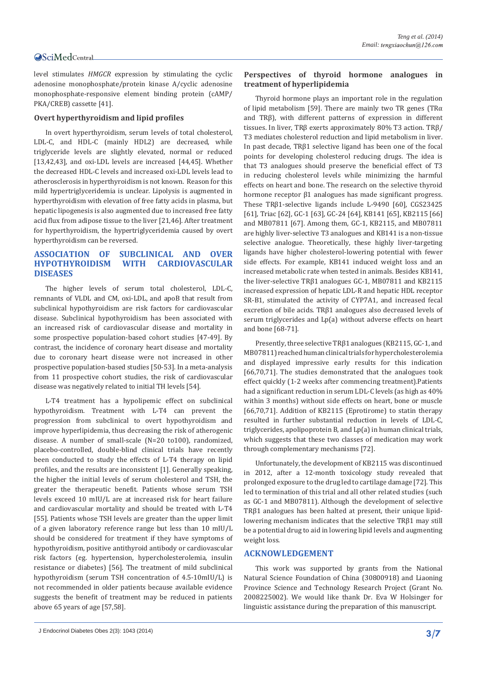level stimulates *HMGCR* expression by stimulating the cyclic adenosine monophosphate/protein kinase A/cyclic adenosine monophosphate-responsive element binding protein (cAMP/ PKA/CREB) cassette [41].

#### **Overt hyperthyroidism and lipid profiles**

In overt hyperthyroidism, serum levels of total cholesterol, LDL-C, and HDL-C (mainly HDL2) are decreased, while triglyceride levels are slightly elevated, normal or reduced [13,42,43], and oxi-LDL levels are increased [44,45]. Whether the decreased HDL-C levels and increased oxi-LDL levels lead to atherosclerosis in hyperthyroidism is not known. Reason for this mild hypertriglyceridemia is unclear. Lipolysis is augmented in hyperthyroidism with elevation of free fatty acids in plasma, but hepatic lipogenesis is also augmented due to increased free fatty acid flux from adipose tissue to the liver [21,46]. After treatment for hyperthyroidism, the hypertriglyceridemia caused by overt hyperthyroidism can be reversed.

# **ASSOCIATION OF SUBCLINICAL AND OVER HYPOTHYROIDISM WITH CARDIOVASCULAR DISEASES**

The higher levels of serum total cholesterol, LDL-C, remnants of VLDL and CM, oxi-LDL, and apoB that result from subclinical hypothyroidism are risk factors for cardiovascular disease. Subclinical hypothyroidism has been associated with an increased risk of cardiovascular disease and mortality in some prospective population-based cohort studies [47-49]. By contrast, the incidence of coronary heart disease and mortality due to coronary heart disease were not increased in other prospective population-based studies [50-53]. In a meta-analysis from 11 prospective cohort studies, the risk of cardiovascular disease was negatively related to initial TH levels [54].

L-T4 treatment has a hypolipemic effect on subclinical hypothyroidism. Treatment with L-T4 can prevent the progression from subclinical to overt hypothyroidism and improve hyperlipidemia, thus decreasing the risk of atherogenic disease. A number of small-scale (N=20 to100), randomized, placebo-controlled, double-blind clinical trials have recently been conducted to study the effects of L-T4 therapy on lipid profiles, and the results are inconsistent [1]. Generally speaking, the higher the initial levels of serum cholesterol and TSH, the greater the therapeutic benefit. Patients whose serum TSH levels exceed 10 mIU/L are at increased risk for heart failure and cardiovascular mortality and should be treated with L-T4 [55]. Patients whose TSH levels are greater than the upper limit of a given laboratory reference range but less than 10 mIU/L should be considered for treatment if they have symptoms of hypothyroidism, positive antithyroid antibody or cardiovascular risk factors (eg. hypertension, hypercholesterolemia, insulin resistance or diabetes) [56]. The treatment of mild subclinical hypothyroidism (serum TSH concentration of 4.5-10mIU/L) is not recommended in older patients because available evidence suggests the benefit of treatment may be reduced in patients above 65 years of age [57,58].

#### **Perspectives of thyroid hormone analogues in treatment of hyperlipidemia**

Thyroid hormone plays an important role in the regulation of lipid metabolism [59]. There are mainly two TR genes (TRα and TRβ), with different patterns of expression in different tissues. In liver, TRβ exerts approximately 80% T3 action. TRβ/ Τ3 mediates cholesterol reduction and lipid metabolism in liver. In past decade, TRβ1 selective ligand has been one of the focal points for developing cholesterol reducing drugs. The idea is that T3 analogues should preserve the beneficial effect of T3 in reducing cholesterol levels while minimizing the harmful effects on heart and bone. The research on the selective thyroid hormone receptor β1 analogues has made significant progress. These TRβ1-selective ligands include L-9490 [60], CGS23425 [61], Triac [62], GC-1 [63], GC-24 [64], KB141 [65], KB2115 [66] and MB07811 [67]. Among them, GC-1, KB2115, and MB07811 are highly liver-selective T3 analogues and KB141 is a non-tissue selective analogue. Theoretically, these highly liver-targeting ligands have higher cholesterol-lowering potential with fewer side effects. For example, KB141 induced weight loss and an increased metabolic rate when tested in animals. Besides KB141, the liver-selective TRβ1 analogues GC-1, MB07811 and KB2115 increased expression of hepatic LDL-R and hepatic HDL receptor SR-B1, stimulated the activity of CYP7A1, and increased fecal excretion of bile acids. TRβ1 analogues also decreased levels of serum triglycerides and Lp(a) without adverse effects on heart and bone [68-71].

Presently, three selective TRβ1 analogues (KB2115, GC-1, and MB07811) reached human clinical trials for hypercholesterolemia and displayed impressive early results for this indication [66,70,71]. The studies demonstrated that the analogues took effect quickly (1-2 weeks after commencing treatment).Patients had a significant reduction in serum LDL-C levels (as high as 40% within 3 months) without side effects on heart, bone or muscle [66,70,71]. Addition of KB2115 (Eprotirome) to statin therapy resulted in further substantial reduction in levels of LDL-C, triglycerides, apolipoprotein B, and Lp(a) in human clinical trials, which suggests that these two classes of medication may work through complementary mechanisms [72].

Unfortunately, the development of KB2115 was discontinued in 2012, after a 12-month toxicology study revealed that prolonged exposure to the drug led to cartilage damage [72]. This led to termination of this trial and all other related studies (such as GC-1 and MB07811). Although the development of selective TRβ1 analogues has been halted at present, their unique lipidlowering mechanism indicates that the selective TRβ1 may still be a potential drug to aid in lowering lipid levels and augmenting weight loss.

#### **ACKNOWLEDGEMENT**

This work was supported by grants from the National Natural Science Foundation of China (30800918) and Liaoning Province Science and Technology Research Project (Grant No. 2008225002). We would like thank Dr. Eva W Holsinger for linguistic assistance during the preparation of this manuscript.

J Endocrinol Diabetes Obes 2(3): 1043 (2014) **3/7**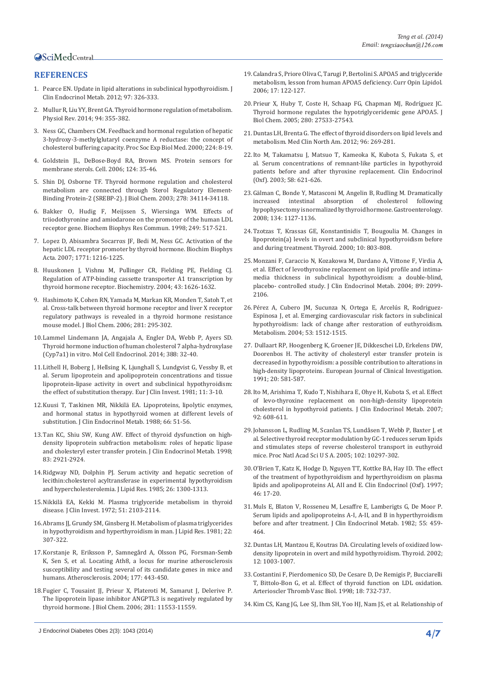# **REFERENCES**

- 1. [Pearce EN. Update in lipid alterations in subclinical hypothyroidism. J](http://www.ncbi.nlm.nih.gov/pubmed/22205712)  [Clin Endocrinol Metab. 2012; 97: 326-333.](http://www.ncbi.nlm.nih.gov/pubmed/22205712)
- 2. [Mullur R, Liu YY, Brent GA. Thyroid hormone regulation of metabolism.](http://www.ncbi.nlm.nih.gov/pubmed/24692351)  [Physiol Rev. 2014; 94: 355-382.](http://www.ncbi.nlm.nih.gov/pubmed/24692351)
- 3. [Ness GC, Chambers CM. Feedback and hormonal regulation of hepatic](http://www.ncbi.nlm.nih.gov/pubmed/10782041)  [3-hydroxy-3-methylglutaryl coenzyme A reductase: the concept of](http://www.ncbi.nlm.nih.gov/pubmed/10782041)  [cholesterol buffering capacity. Proc Soc Exp Biol Med. 2000; 224: 8-19.](http://www.ncbi.nlm.nih.gov/pubmed/10782041)
- 4. [Goldstein JL, DeBose-Boyd RA, Brown MS. Protein sensors for](http://www.ncbi.nlm.nih.gov/pubmed/16413480)  [membrane sterols. Cell. 2006; 124: 35-46.](http://www.ncbi.nlm.nih.gov/pubmed/16413480)
- 5. [Shin DJ, Osborne TF. Thyroid hormone regulation and cholesterol](http://www.ncbi.nlm.nih.gov/pubmed/12829694)  [metabolism are connected through Sterol Regulatory Element-](http://www.ncbi.nlm.nih.gov/pubmed/12829694)[Binding Protein-2 \(SREBP-2\). J Biol Chem. 2003; 278: 34114-34118.](http://www.ncbi.nlm.nih.gov/pubmed/12829694)
- 6. [Bakker O, Hudig F, Meijssen S, Wiersinga WM. Effects of](http://www.ncbi.nlm.nih.gov/pubmed/9712728)  [triiodothyronine and amiodarone on the promoter of the human LDL](http://www.ncbi.nlm.nih.gov/pubmed/9712728)  [receptor gene. Biochem Biophys Res Commun. 1998; 249: 517-521.](http://www.ncbi.nlm.nih.gov/pubmed/9712728)
- 7. Lopez D, Abisambra Socarrα[s JF, Bedi M, Ness GC. Activation of the](http://www.ncbi.nlm.nih.gov/pubmed/17572141)  [hepatic LDL receptor promoter by thyroid hormone. Biochim Biophys](http://www.ncbi.nlm.nih.gov/pubmed/17572141)  [Acta. 2007; 1771: 1216-1225.](http://www.ncbi.nlm.nih.gov/pubmed/17572141)
- 8. [Huuskonen J, Vishnu M, Pullinger CR, Fielding PE, Fielding CJ.](http://www.ncbi.nlm.nih.gov/pubmed/14769039)  [Regulation of ATP-binding cassette transporter A1 transcription by](http://www.ncbi.nlm.nih.gov/pubmed/14769039)  [thyroid hormone receptor. Biochemistry. 2004; 43: 1626-1632.](http://www.ncbi.nlm.nih.gov/pubmed/14769039)
- 9. [Hashimoto K, Cohen RN, Yamada M, Markan KR, Monden T, Satoh T, et](http://www.ncbi.nlm.nih.gov/pubmed/16260782)  [al. Cross-talk between thyroid hormone receptor and liver X receptor](http://www.ncbi.nlm.nih.gov/pubmed/16260782)  [regulatory pathways is revealed in a thyroid hormone resistance](http://www.ncbi.nlm.nih.gov/pubmed/16260782)  [mouse model. J Biol Chem. 2006; 281: 295-302.](http://www.ncbi.nlm.nih.gov/pubmed/16260782)
- 10.Lammel Lindemann JA, Angajala A, Engler DA, Webb P, Ayers SD. Thyroid hormone induction of human cholesterol 7 alpha-hydroxylase (Cyp7a1) in vitro. Mol Cell Endocrinol. 2014; 388: 32-40.
- 11.[Lithell H, Boberg J, Hellsing K, Ljunghall S, Lundgvist G, Vessby B, et](http://www.ncbi.nlm.nih.gov/pubmed/6783426)  [al. Serum lipoprotein and apolipoprotein concentrations and tissue](http://www.ncbi.nlm.nih.gov/pubmed/6783426)  [lipoprotein-lipase activity in overt and subclinical hypothyroidism:](http://www.ncbi.nlm.nih.gov/pubmed/6783426)  [the effect of substitution therapy. Eur J Clin Invest. 1981; 11: 3-10.](http://www.ncbi.nlm.nih.gov/pubmed/6783426)
- 12.[Kuusi T, Taskinen MR, Nikkilä EA. Lipoproteins, lipolytic enzymes,](http://www.ncbi.nlm.nih.gov/pubmed/3335609)  [and hormonal status in hypothyroid women at different levels of](http://www.ncbi.nlm.nih.gov/pubmed/3335609)  [substitution. J Clin Endocrinol Metab. 1988; 66: 51-56.](http://www.ncbi.nlm.nih.gov/pubmed/3335609)
- 13.[Tan KC, Shiu SW, Kung AW. Effect of thyroid dysfunction on high](http://www.ncbi.nlm.nih.gov/pubmed/9709970)[density lipoprotein subfraction metabolism: roles of hepatic lipase](http://www.ncbi.nlm.nih.gov/pubmed/9709970)  [and cholesteryl ester transfer protein. J Clin Endocrinol Metab. 1998;](http://www.ncbi.nlm.nih.gov/pubmed/9709970)  [83: 2921-2924.](http://www.ncbi.nlm.nih.gov/pubmed/9709970)
- 14.[Ridgway ND, Dolphin PJ. Serum activity and hepatic secretion of](http://www.ncbi.nlm.nih.gov/pubmed/2999279)  [lecithin:cholesterol acyltransferase in experimental hypothyroidism](http://www.ncbi.nlm.nih.gov/pubmed/2999279)  [and hypercholesterolemia. J Lipid Res. 1985; 26: 1300-1313.](http://www.ncbi.nlm.nih.gov/pubmed/2999279)
- 15.[Nikkilä EA, Kekki M. Plasma triglyceride metabolism in thyroid](http://www.ncbi.nlm.nih.gov/pubmed/4341014)  [disease. J Clin Invest. 1972; 51: 2103-2114.](http://www.ncbi.nlm.nih.gov/pubmed/4341014)
- 16.Abrams JJ, Grundy SM, Ginsberg H. Metabolism of plasma triglycerides in hypothyroidism and hyperthyroidism in man. J Lipid Res. 1981; 22: 307-322.
- 17.[Korstanje R, Eriksson P, Samnegård A, Olsson PG, Forsman-Semb](http://www.ncbi.nlm.nih.gov/pubmed/15530921)  [K, Sen S, et al. Locating Ath8, a locus for murine atherosclerosis](http://www.ncbi.nlm.nih.gov/pubmed/15530921)  [susceptibility and testing several of its candidate genes in mice and](http://www.ncbi.nlm.nih.gov/pubmed/15530921)  [humans. Atherosclerosis. 2004; 177: 443-450.](http://www.ncbi.nlm.nih.gov/pubmed/15530921)
- 18.[Fugier C, Tousaint JJ, Prieur X, Plateroti M, Samarut J, Delerive P.](http://www.ncbi.nlm.nih.gov/pubmed/16505486)  [The lipoprotein lipase inhibitor ANGPTL3 is negatively regulated by](http://www.ncbi.nlm.nih.gov/pubmed/16505486)  thyroid hormon[e. J Biol Chem. 2006; 281: 11553-11559.](http://www.ncbi.nlm.nih.gov/pubmed/16505486)
- 20.[Prieur X, Huby T, Coste H, Schaap FG, Chapman MJ, Rodríguez JC.](http://www.ncbi.nlm.nih.gov/pubmed/15941710)  [Thyroid hormone regulates the hypotriglyceridemic gene APOA5. J](http://www.ncbi.nlm.nih.gov/pubmed/15941710)  [Biol Chem. 2005; 280: 27533-27543.](http://www.ncbi.nlm.nih.gov/pubmed/15941710)
- 21.[Duntas LH, Brenta G. The effect of thyroid disorders on lipid levels and](http://www.ncbi.nlm.nih.gov/pubmed/22443975)  [metabolism. Med Clin North Am. 2012; 96: 269-281.](http://www.ncbi.nlm.nih.gov/pubmed/22443975)
- 22.[Ito M, Takamatsu J, Matsuo T, Kameoka K, Kubota S, Fukata S, et](http://www.ncbi.nlm.nih.gov/pubmed/12699445)  [al. Serum concentrations of remnant-like particles in hypothyroid](http://www.ncbi.nlm.nih.gov/pubmed/12699445)  [patients before and after thyroxine replacement. Clin Endocrinol](http://www.ncbi.nlm.nih.gov/pubmed/12699445)  [\(Oxf\). 2003; 58: 621-626.](http://www.ncbi.nlm.nih.gov/pubmed/12699445)
- 23.[Gälman C, Bonde Y, Matasconi M, Angelin B, Rudling M. Dramatically](http://www.ncbi.nlm.nih.gov/pubmed/18395092)  [increased intestinal absorption of cholesterol following](http://www.ncbi.nlm.nih.gov/pubmed/18395092)  [hypophysectomy is normalized by thyroid hormone. Gastroenterology.](http://www.ncbi.nlm.nih.gov/pubmed/18395092)  [2008; 134: 1127-1136.](http://www.ncbi.nlm.nih.gov/pubmed/18395092)
- 24.[Tzotzas T, Krassas GE, Konstantinidis T, Bougoulia M. Changes in](http://www.ncbi.nlm.nih.gov/pubmed/11041458)  [lipoprotein\(a\) levels in overt and subclinical hypothyroidism before](http://www.ncbi.nlm.nih.gov/pubmed/11041458)  [and during treatment. Thyroid. 2000; 10: 803-808.](http://www.ncbi.nlm.nih.gov/pubmed/11041458)
- 25.[Monzani F, Caraccio N, Kozakowa M, Dardano A, Vittone F, Virdia A,](http://www.ncbi.nlm.nih.gov/pubmed/15126526)  [et al. Effect of levothyroxine replacement on lipid profile and intima](http://www.ncbi.nlm.nih.gov/pubmed/15126526)[media thickness in subclinical hypothyroidism: a double-blind,](http://www.ncbi.nlm.nih.gov/pubmed/15126526)  [placebo- controlled study. J Clin Endocrinol Metab. 2004; 89: 2099-](http://www.ncbi.nlm.nih.gov/pubmed/15126526) [2106.](http://www.ncbi.nlm.nih.gov/pubmed/15126526)
- 26.[Pérez A, Cubero JM, Sucunza N, Ortega E, Arcelús R, Rodriguez-](http://www.ncbi.nlm.nih.gov/pubmed/15536611)[Espinosa J, et al. Emerging cardiovascular risk factors in subclinical](http://www.ncbi.nlm.nih.gov/pubmed/15536611)  [hypothyroidism: lack of change after restoration of euthyroidism.](http://www.ncbi.nlm.nih.gov/pubmed/15536611)  [Metabolism. 2004; 53: 1512-1515.](http://www.ncbi.nlm.nih.gov/pubmed/15536611)
- 27. [Dullaart RP, Hoogenberg K, Groener JE, Dikkeschei LD, Erkelens DW,](http://www.ncbi.nlm.nih.gov/pubmed/2127747)  [Doorenbos H. The activity of cholesteryl ester transfer protein is](http://www.ncbi.nlm.nih.gov/pubmed/2127747)  [decreased in hypothyroidism: a possible contribution to alterations in](http://www.ncbi.nlm.nih.gov/pubmed/2127747)  [high-density lipoproteins. European Journal of Clinical Investigation.](http://www.ncbi.nlm.nih.gov/pubmed/2127747)  [1991; 20: 581-587.](http://www.ncbi.nlm.nih.gov/pubmed/2127747)
- 28.[Ito M, Arishima T, Kudo T, Nishihara E, Ohye H, Kubota S, et al. Effect](http://www.ncbi.nlm.nih.gov/pubmed/17148561)  [of levo-thyroxine replacement on non-high-density lipoprotein](http://www.ncbi.nlm.nih.gov/pubmed/17148561)  [cholesterol in hypothyroid patients. J Clin Endocrinol Metab. 2007;](http://www.ncbi.nlm.nih.gov/pubmed/17148561)  [92: 608-611.](http://www.ncbi.nlm.nih.gov/pubmed/17148561)
- 29.[Johansson L, Rudling M, Scanlan TS, Lundåsen T, Webb P, Baxter J, et](http://www.ncbi.nlm.nih.gov/pubmed/16006512)  [al. Selective thyroid receptor modulation by GC-1 reduces serum lipids](http://www.ncbi.nlm.nih.gov/pubmed/16006512)  [and stimulates steps of reverse cholesterol transport in euthyroid](http://www.ncbi.nlm.nih.gov/pubmed/16006512)  [mice. Proc Natl Acad Sci U S A. 2005; 102: 10297-302.](http://www.ncbi.nlm.nih.gov/pubmed/16006512)
- 30.[O'Brien T, Katz K, Hodge D, Nguyen TT, Kottke BA, Hay ID. The effect](http://www.ncbi.nlm.nih.gov/pubmed/9059553)  [of the treatment of hypothyroidism and hyperthyroidism on plasma](http://www.ncbi.nlm.nih.gov/pubmed/9059553)  [lipids and apolipoproteins AI, AII and E. Clin Endocrinol \(Oxf\). 1997;](http://www.ncbi.nlm.nih.gov/pubmed/9059553)  [46: 17-20.](http://www.ncbi.nlm.nih.gov/pubmed/9059553)
- 31.[Muls E, Blaton V, Rosseneu M, Lesaffre E, Lamberigts G, De Moor P.](http://www.ncbi.nlm.nih.gov/pubmed/6808006)  [Serum lipids and apolipoproteins A-I, A-II, and B in hyperthyroidism](http://www.ncbi.nlm.nih.gov/pubmed/6808006)  [before and after treatment. J Clin Endocrinol Metab. 1982; 55: 459-](http://www.ncbi.nlm.nih.gov/pubmed/6808006) [464.](http://www.ncbi.nlm.nih.gov/pubmed/6808006)
- 32.[Duntas LH, Mantzou E, Koutras DA. Circulating levels of oxidized low](http://www.ncbi.nlm.nih.gov/pubmed/12490078)[density lipoprotein in overt and mild hypothyroidism. Thyroid. 2002;](http://www.ncbi.nlm.nih.gov/pubmed/12490078)  [12: 1003-1007.](http://www.ncbi.nlm.nih.gov/pubmed/12490078)
- 33.[Costantini F, Pierdomenico SD, De Cesare D, De Remigis P, Bucciarelli](http://www.ncbi.nlm.nih.gov/pubmed/9598831)  [T, Bittolo-Bon G, et al. Effect of thyroid function on LDL oxidation.](http://www.ncbi.nlm.nih.gov/pubmed/9598831)  [Arterioscler Thromb Vasc Biol. 1998; 18: 732-737.](http://www.ncbi.nlm.nih.gov/pubmed/9598831)
- 34.[Kim CS, Kang JG, Lee SJ, Ihm SH, Yoo HJ, Nam JS, et al. Relationship of](http://www.ncbi.nlm.nih.gov/pubmed/19178521)

<sup>19.</sup>[Calandra S, Priore Oliva C, Tarugi P, Bertolini S. APOA5 and triglyceride](http://www.ncbi.nlm.nih.gov/pubmed/16531747)  [metabolism, lesson from human APOA5 deficiency. Curr Opin Lipidol.](http://www.ncbi.nlm.nih.gov/pubmed/16531747)  [2006; 17: 122-127.](http://www.ncbi.nlm.nih.gov/pubmed/16531747)

J Endocrinol Diabetes Obes 2(3): 1043 (2014) **4/7**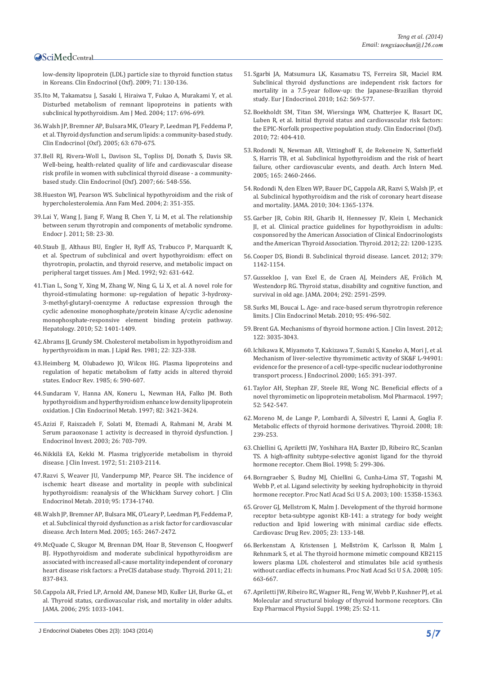[low-density lipoprotein \(LDL\) particle size to thyroid function status](http://www.ncbi.nlm.nih.gov/pubmed/19178521)  [in Koreans. Clin Endocrinol \(Oxf\). 2009; 71: 130-136.](http://www.ncbi.nlm.nih.gov/pubmed/19178521)

- 35.[Ito M, Takamatsu J, Sasaki I, Hiraiwa T, Fukao A, Murakami Y, et al.](http://www.ncbi.nlm.nih.gov/pubmed/15501208)  [Disturbed metabolism of remnant lipoproteins in patients with](http://www.ncbi.nlm.nih.gov/pubmed/15501208)  [subclinical hypothyroidism. Am J Med. 2004; 117: 696-699.](http://www.ncbi.nlm.nih.gov/pubmed/15501208)
- 36.[Walsh JP, Bremner AP, Bulsara MK, O'leary P, Leedman PJ, Feddema P,](http://www.ncbi.nlm.nih.gov/pubmed/16343102)  [et al. Thyroid dysfunction and serum lipids: a community-based study.](http://www.ncbi.nlm.nih.gov/pubmed/16343102)  [Clin Endocrinol \(Oxf\). 2005; 63: 670-675.](http://www.ncbi.nlm.nih.gov/pubmed/16343102)
- 37.[Bell RJ, Rivera-Woll L, Davison SL, Topliss DJ, Donath S, Davis SR.](http://www.ncbi.nlm.nih.gov/pubmed/17371474)  [Well-being, health-related quality of life and cardiovascular disease](http://www.ncbi.nlm.nih.gov/pubmed/17371474)  [risk profile in women with subclinical thyroid disease - a community](http://www.ncbi.nlm.nih.gov/pubmed/17371474)[based study. Clin Endocrinol \(Oxf\). 2007; 66: 548-556.](http://www.ncbi.nlm.nih.gov/pubmed/17371474)
- 38.[Hueston WJ, Pearson WS. Subclinical hypothyroidism and the risk of](http://www.ncbi.nlm.nih.gov/pubmed/15335135)  [hypercholesterolemia. Ann Fam Med. 2004; 2: 351-355.](http://www.ncbi.nlm.nih.gov/pubmed/15335135)
- 39.[Lai Y, Wang J, Jiang F, Wang B, Chen Y, Li M, et al. The relationship](http://www.ncbi.nlm.nih.gov/pubmed/21135510)  [between serum thyrotropin and components of metabolic syndrome.](http://www.ncbi.nlm.nih.gov/pubmed/21135510)  [Endocr J. 2011; 58: 23-30.](http://www.ncbi.nlm.nih.gov/pubmed/21135510)
- 40.[Staub JJ, Althaus BU, Engler H, Ryff AS, Trabucco P, Marquardt K,](http://www.ncbi.nlm.nih.gov/pubmed/1605145)  [et al. Spectrum of subclinical and overt hypothyroidism: effect on](http://www.ncbi.nlm.nih.gov/pubmed/1605145)  [thyrotropin, prolactin, and thyroid reserve, and metabolic impact on](http://www.ncbi.nlm.nih.gov/pubmed/1605145)  [peripheral target tissues. Am J Med. 1992; 92: 631-642.](http://www.ncbi.nlm.nih.gov/pubmed/1605145)
- 41.[Tian L, Song Y, Xing M, Zhang W, Ning G, Li X, et al. A novel role for](http://www.ncbi.nlm.nih.gov/pubmed/20648556)  [thyroid-stimulating hormone: up-regulation of hepatic 3-hydroxy-](http://www.ncbi.nlm.nih.gov/pubmed/20648556)[3-methyl-glutaryl-coenzyme A reductase expression through the](http://www.ncbi.nlm.nih.gov/pubmed/20648556)  [cyclic adenosine monophosphate/protein kinase A/cyclic adenosine](http://www.ncbi.nlm.nih.gov/pubmed/20648556)  [monophosphate-responsive element binding protein pathway.](http://www.ncbi.nlm.nih.gov/pubmed/20648556)  [Hepatology. 2010; 52: 1401-1409.](http://www.ncbi.nlm.nih.gov/pubmed/20648556)
- 42.[Abrams JJ, Grundy SM. Cholesterol metabolism in hypothyroidism and](http://www.ncbi.nlm.nih.gov/pubmed/7240961)  [hyperthyroidism in man. J Lipid Res. 1981; 22: 323-338.](http://www.ncbi.nlm.nih.gov/pubmed/7240961)
- 43.[Heimberg M, Olubadewo JO, Wilcox HG. Plasma lipoproteins and](http://www.ncbi.nlm.nih.gov/pubmed/3908084)  [regulation of hepatic metabolism of fatty acids in altered thyroid](http://www.ncbi.nlm.nih.gov/pubmed/3908084)  [states. Endocr Rev. 1985; 6: 590-607.](http://www.ncbi.nlm.nih.gov/pubmed/3908084)
- 44.[Sundaram V, Hanna AN, Koneru L, Newman HA, Falko JM. Both](http://www.ncbi.nlm.nih.gov/pubmed/9329379)  [hypothyroidism and hyperthyroidism enhance low density lipoprotein](http://www.ncbi.nlm.nih.gov/pubmed/9329379)  [oxidation. J Clin Endocrinol Metab. 1997; 82: 3421-3424.](http://www.ncbi.nlm.nih.gov/pubmed/9329379)
- 45.[Azizi F, Raiszadeh F, Solati M, Etemadi A, Rahmani M, Arabi M.](http://www.ncbi.nlm.nih.gov/pubmed/14669822)  [Serum paraoxonase 1 activity is decreased in thyroid dysfunction. J](http://www.ncbi.nlm.nih.gov/pubmed/14669822)  [Endocrinol Invest. 2003; 26: 703-709.](http://www.ncbi.nlm.nih.gov/pubmed/14669822)
- 46.[Nikkilä EA, Kekki M. Plasma triglyceride metabolism in thyroid](http://www.ncbi.nlm.nih.gov/pubmed/4341014)  [disease. J Clin Invest. 1972; 51: 2103-2114.](http://www.ncbi.nlm.nih.gov/pubmed/4341014)
- 47.[Razvi S, Weaver JU, Vanderpump MP, Pearce SH. The incidence of](http://www.ncbi.nlm.nih.gov/pubmed/20150579)  [ischemic heart disease and mortality in people with subclinical](http://www.ncbi.nlm.nih.gov/pubmed/20150579)  [hypothyroidism: reanalysis of the Whickham Survey cohort. J Clin](http://www.ncbi.nlm.nih.gov/pubmed/20150579)  [Endocrinol Metab. 2010; 95: 1734-1740.](http://www.ncbi.nlm.nih.gov/pubmed/20150579)
- 48.[Walsh JP, Bremner AP, Bulsara MK, O'Leary P, Leedman PJ, Feddema P,](http://www.ncbi.nlm.nih.gov/pubmed/16314542)  [et al. Subclinical thyroid dysfunction as a risk factor for cardiovascular](http://www.ncbi.nlm.nih.gov/pubmed/16314542)  [disease. Arch Intern Med. 2005; 165: 2467-2472.](http://www.ncbi.nlm.nih.gov/pubmed/16314542)
- 49.[McQuade C, Skugor M, Brennan DM, Hoar B, Stevenson C, Hoogwerf](http://www.ncbi.nlm.nih.gov/pubmed/21745107)  [BJ. Hypothyroidism and moderate subclinical hypothyroidism are](http://www.ncbi.nlm.nih.gov/pubmed/21745107)  [associated with increased all-cause mortality independent of coronary](http://www.ncbi.nlm.nih.gov/pubmed/21745107)  [heart disease risk factors: a PreCIS database study. Thyroid. 2011; 21:](http://www.ncbi.nlm.nih.gov/pubmed/21745107)  [837-843.](http://www.ncbi.nlm.nih.gov/pubmed/21745107)
- 50.[Cappola AR, Fried LP, Arnold AM, Danese MD, Kuller LH, Burke GL, et](http://www.ncbi.nlm.nih.gov/pubmed/16507804)  [al. Thyroid status, cardiovascular risk, and mortality in older adults.](http://www.ncbi.nlm.nih.gov/pubmed/16507804)  [JAMA. 2006; 295: 1033-1041.](http://www.ncbi.nlm.nih.gov/pubmed/16507804)
- 51.[Sgarbi JA, Matsumura LK, Kasamatsu TS, Ferreira SR, Maciel RM.](http://www.ncbi.nlm.nih.gov/pubmed/19966035)  [Subclinical thyroid dysfunctions are independent risk factors for](http://www.ncbi.nlm.nih.gov/pubmed/19966035)  [mortality in a 7.5-year follow-up: the Japanese-Brazilian thyroid](http://www.ncbi.nlm.nih.gov/pubmed/19966035)  [study. Eur J Endocrinol. 2010; 162: 569-577.](http://www.ncbi.nlm.nih.gov/pubmed/19966035)
- 52.[Boekholdt SM, Titan SM, Wiersinga WM, Chatterjee K, Basart DC,](http://www.ncbi.nlm.nih.gov/pubmed/19486022)  [Luben R, et al. Initial thyroid status and cardiovascular risk factors:](http://www.ncbi.nlm.nih.gov/pubmed/19486022)  [the EPIC-Norfolk prospective population study. Clin Endocrinol \(Oxf\).](http://www.ncbi.nlm.nih.gov/pubmed/19486022)  [2010; 72: 404-410.](http://www.ncbi.nlm.nih.gov/pubmed/19486022)
- 53.[Rodondi N, Newman AB, Vittinghoff E, de Rekeneire N, Satterfield](http://www.ncbi.nlm.nih.gov/pubmed/16314541)  [S, Harris TB, et al. Subclinical hypothyroidism and the risk of heart](http://www.ncbi.nlm.nih.gov/pubmed/16314541)  [failure, other cardiovascular events, and death. Arch Intern Med.](http://www.ncbi.nlm.nih.gov/pubmed/16314541)  [2005; 165: 2460-2466.](http://www.ncbi.nlm.nih.gov/pubmed/16314541)
- 54.[Rodondi N, den Elzen WP, Bauer DC, Cappola AR, Razvi S, Walsh JP, et](http://www.ncbi.nlm.nih.gov/pubmed/20858880)  [al. Subclinical hypothyroidism and the risk of coronary heart disease](http://www.ncbi.nlm.nih.gov/pubmed/20858880)  [and mortality. JAMA. 2010; 304: 1365-1374.](http://www.ncbi.nlm.nih.gov/pubmed/20858880)
- 55.[Garber JR, Cobin RH, Gharib H, Hennessey JV, Klein I, Mechanick](http://www.ncbi.nlm.nih.gov/pubmed/22954017)  [JI, et al. Clinical practice guidelines for hypothyroidism in adults:](http://www.ncbi.nlm.nih.gov/pubmed/22954017)  [cosponsored by the American Association of Clinical Endocrinologists](http://www.ncbi.nlm.nih.gov/pubmed/22954017)  [and the American Thyroid Association. Thyroid. 2012; 22: 1200-1235.](http://www.ncbi.nlm.nih.gov/pubmed/22954017)
- 56.[Cooper DS, Biondi B. Subclinical thyroid disease. Lancet. 2012; 379:](http://www.ncbi.nlm.nih.gov/pubmed/22273398)  [1142-1154.](http://www.ncbi.nlm.nih.gov/pubmed/22273398)
- 57.[Gussekloo J, van Exel E, de Craen AJ, Meinders AE, Frölich M,](http://www.ncbi.nlm.nih.gov/pubmed/15572717)  [Westendorp RG. Thyroid status, disability and cognitive function, and](http://www.ncbi.nlm.nih.gov/pubmed/15572717)  [survival in old age. JAMA. 2004; 292: 2591-2599.](http://www.ncbi.nlm.nih.gov/pubmed/15572717)
- 58.[Surks MI, Boucai L. Age- and race-based serum thyrotropin reference](http://www.ncbi.nlm.nih.gov/pubmed/19965925)  [limits. J Clin Endocrinol Metab. 2010; 95: 496-502.](http://www.ncbi.nlm.nih.gov/pubmed/19965925)
- 59.[Brent GA. Mechanisms of thyroid hormone action. J Clin Invest. 2012;](http://www.ncbi.nlm.nih.gov/pubmed/22945636)  [122: 3035-3043.](http://www.ncbi.nlm.nih.gov/pubmed/22945636)
- 60.[Ichikawa K, Miyamoto T, Kakizawa T, Suzuki S, Kaneko A, Mori J, et al.](http://www.ncbi.nlm.nih.gov/pubmed/10810303)  [Mechanism of liver-selective thyromimetic activity of SK&F L-94901:](http://www.ncbi.nlm.nih.gov/pubmed/10810303)  [evidence for the presence of a cell-type-specific nuclear iodothyronine](http://www.ncbi.nlm.nih.gov/pubmed/10810303)  [transport process. J Endocrinol. 2000; 165: 391-397.](http://www.ncbi.nlm.nih.gov/pubmed/10810303)
- 61.[Taylor AH, Stephan ZF, Steele RE, Wong NC. Beneficial effects of a](http://www.ncbi.nlm.nih.gov/pubmed/9281617)  [novel thyromimetic on lipoprotein metabolism. Mol Pharmacol. 1997;](http://www.ncbi.nlm.nih.gov/pubmed/9281617)  [52: 542-547.](http://www.ncbi.nlm.nih.gov/pubmed/9281617)
- 62.[Moreno M, de Lange P, Lombardi A, Silvestri E, Lanni A, Goglia F.](http://www.ncbi.nlm.nih.gov/pubmed/18279024)  [Metabolic effects of thyroid hormone derivatives. Thyroid. 2008; 18:](http://www.ncbi.nlm.nih.gov/pubmed/18279024)  [239-253.](http://www.ncbi.nlm.nih.gov/pubmed/18279024)
- 63.[Chiellini G, Apriletti JW, Yoshihara HA, Baxter JD, Ribeiro RC, Scanlan](http://www.ncbi.nlm.nih.gov/pubmed/9653548)  [TS. A high-affinity subtype-selective agonist ligand for the thyroid](http://www.ncbi.nlm.nih.gov/pubmed/9653548)  [hormone receptor. Chem Biol. 1998; 5: 299-306.](http://www.ncbi.nlm.nih.gov/pubmed/9653548)
- 64.[Borngraeber S, Budny MJ, Chiellini G, Cunha-Lima ST, Togashi M,](http://www.ncbi.nlm.nih.gov/pubmed/14673100)  [Webb P, et al. Ligand selectivity by seeking hydrophobicity in thyroid](http://www.ncbi.nlm.nih.gov/pubmed/14673100)  [hormone receptor. Proc Natl Acad Sci U S A. 2003; 100: 15358-15363.](http://www.ncbi.nlm.nih.gov/pubmed/14673100)
- 65.[Grover GJ, Mellstrom K, Malm J. Development of the thyroid hormone](http://www.ncbi.nlm.nih.gov/pubmed/16007230)  [receptor beta-subtype agonist KB-141: a strategy for body weight](http://www.ncbi.nlm.nih.gov/pubmed/16007230)  [reduction and lipid lowering with minimal cardiac side effects.](http://www.ncbi.nlm.nih.gov/pubmed/16007230)  [Cardiovasc Drug Rev. 2005; 23: 133-148.](http://www.ncbi.nlm.nih.gov/pubmed/16007230)
- 66.[Berkenstam A, Kristensen J, Mellström K, Carlsson B, Malm J,](http://www.ncbi.nlm.nih.gov/pubmed/18160532)  [Rehnmark S, et al. The thyroid hormone mimetic compound KB2115](http://www.ncbi.nlm.nih.gov/pubmed/18160532)  [lowers plasma LDL cholesterol and stimulates bile acid synthesis](http://www.ncbi.nlm.nih.gov/pubmed/18160532)  [without cardiac effects in humans. Proc Natl Acad Sci U S A. 2008; 105:](http://www.ncbi.nlm.nih.gov/pubmed/18160532)  [663-667.](http://www.ncbi.nlm.nih.gov/pubmed/18160532)
- 67.[Apriletti JW, Ribeiro RC, Wagner RL, Feng W, Webb P, Kushner PJ, et al.](http://www.ncbi.nlm.nih.gov/pubmed/9809185)  [Molecular and structural biology of thyroid hormone receptors. Clin](http://www.ncbi.nlm.nih.gov/pubmed/9809185)  [Exp Pharmacol Physiol Suppl. 1998; 25: S2-11.](http://www.ncbi.nlm.nih.gov/pubmed/9809185)

J Endocrinol Diabetes Obes 2(3): 1043 (2014) **5/7**